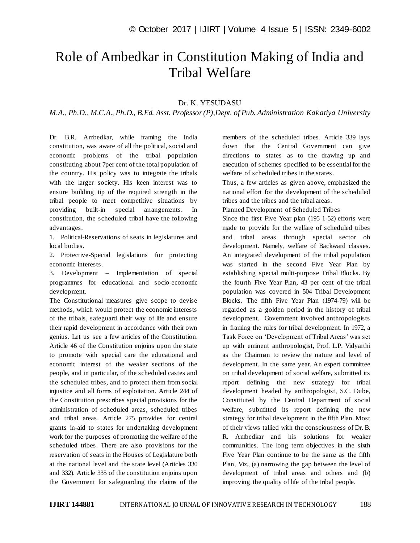## Role of Ambedkar in Constitution Making of India and Tribal Welfare

## Dr. K. YESUDASU

*M.A., Ph.D., M.C.A., Ph.D., B.Ed. Asst. Professor (P),Dept. of Pub. Administration Kakatiya University*

Dr. B.R. Ambedkar, while framing the India constitution, was aware of all the political, social and economic problems of the tribal population constituting about 7per cent of the total population of the country. His policy was to integrate the tribals with the larger society. His keen interest was to ensure building tip of the required strength in the tribal people to meet competitive situations by providing built-in special arrangements. In constitution, the scheduled tribal have the following advantages.

1. Political-Reservations of seats in legislatures and local bodies.

2. Protective-Special legislations for protecting economic interests.

3. Development – Implementation of special programmes for educational and socio-economic development.

The Constitutional measures give scope to devise methods, which would protect the economic interests of the tribals, safeguard their way of life and ensure their rapid development in accordance with their own genius. Let us see a few articles of the Constitution. Article 46 of the Constitution enjoins upon the state to promote with special care the educational and economic interest of the weaker sections of the people, and in particular, of the scheduled castes and the scheduled tribes, and to protect them from social injustice and all forms of exploitation. Article 244 of the Constitution prescribes special provisions for the administration of scheduled areas, scheduled tribes and tribal areas. Article 275 provides for central grants in-aid to states for undertaking development work for the purposes of promoting the welfare of the scheduled tribes. There are also provisions for the reservation of seats in the Houses of Legislature both at the national level and the state level (Articles 330 and 332). Article 335 of the constitution enjoins upon the Government for safeguarding the claims of the

members of the scheduled tribes. Article 339 lays down that the Central Government can give directions to states as to the drawing up and execution of schemes specified to be essential for the welfare of scheduled tribes in the states.

Thus, a few articles as given above, emphasized the national effort for the development of the scheduled tribes and the tribes and the tribal areas.

Planned Development of Scheduled Tribes

Since the first Five Year plan (195 1-52) efforts were made to provide for the welfare of scheduled tribes and tribal areas through special sector oh development. Namely, welfare of Backward classes. An integrated development of the tribal population was started in the second Five Year Plan by establishing special multi-purpose Tribal Blocks. By the fourth Five Year Plan, 43 per cent of the tribal population was covered in 504 Tribal Development Blocks. The fifth Five Year Plan (1974-79) will be regarded as a golden period in the history of tribal development. Government involved anthropologists in framing the rules for tribal development. In 1972, a Task Force on 'Development of Tribal Areas' was set up with eminent anthropologist, Prof. L.P. Vidyarthi as the Chairman to review the nature and level of development. In the same year. An expert committee on tribal development of social welfare, submitted its report defining the new strategy for tribal development headed by anthropologist, S.C. Dube, Constituted by the Central Department of social welfare, submitted its report defining the new strategy for tribal development in the fifth Plan. Most of their views tallied with the consciousness of Dr. B. R. Ambedkar and his solutions for weaker communities. The long term objectives in the sixth Five Year Plan continue to be the same as the fifth Plan, Viz., (a) narrowing the gap between the level of development of tribal areas and others and (b) improving the quality of life of the tribal people.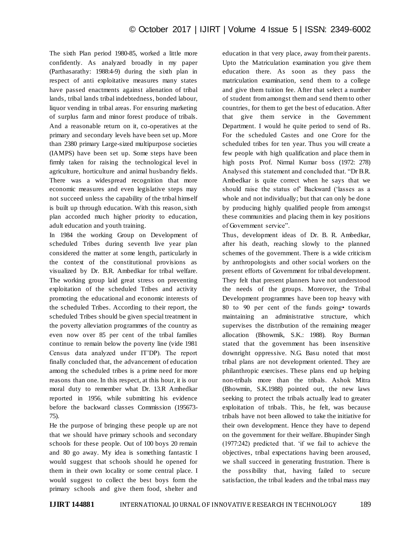The sixth Plan period 1980-85, worked a little more confidently. As analyzed broadly in my paper (Parthasarathy: 1988:4-9) during the sixth plan in respect of anti exploitative measures many states have passed enactments against alienation of tribal lands, tribal lands tribal indebtedness, bonded labour, liquor vending in tribal areas. For ensuring marketing of surplus farm and minor forest produce of tribals. And a reasonable return on it, co-operatives at the primary and secondary levels have been set up. More than 2380 primary Large-sized multipurpose societies (IAMPS) have been set up. Some steps have been firmly taken for raising the technological level in agriculture, horticulture and animal husbandry fields. There was a widespread recognition that more economic measures and even legislative steps may not succeed unless the capability of the tribal himself is built up through education. With this reason, sixth plan accorded much higher priority to education, adult education and youth training.

In 1984 the working Group on Development of scheduled Tribes during seventh live year plan considered the matter at some length, particularly in the context of the constitutional provisions as visualized by Dr. B.R. Ambedkar for tribal welfare. The working group laid great stress on preventing exploitation of the scheduled Tribes and activity promoting the educational and economic interests of the scheduled Tribes. According to their report, the scheduled Tribes should be given special treatment in the poverty alleviation programmes of the country as even now over 85 per cent of the tribal families continue to remain below the poverty line (vide 1981 Census data analyzed under IT"DP). The report finally concluded that, the advancement of education among the scheduled tribes is a prime need for more reasons than one. In this respect, at this hour, it is our moral duty to remember what Dr. 13.R Amhedkar reported in 1956, while submitting his evidence before the backward classes Commission (195673- 75).

He the purpose of bringing these people up are not that we should have primary schools and secondary schools for these people. Out of 100 boys 20 remain and 80 go away. My idea is something fantastic I would suggest that schools should he opened for them in their own locality or some central place. I would suggest to collect the best boys form the primary schools and give them food, shelter and

education in that very place, away from their parents. Upto the Matriculation examination you give them education there. As soon as they pass the matriculation examination, send them to a college and give them tuition fee. After that select a number of student from amongst them and send them to other countries, for them to get the best of education. After that give them service in the Government Department. I would he quite period to send of Rs. For the scheduled Castes and one Crore for the scheduled tribes for ten year. Thus you will create a few people with high qualification and place them in high posts Prof. Nirmal Kumar boss (1972: 278) Analysed this statement and concluded that. "Dr B.R. Ambedkar is quite correct when he says that we should raise the status of" Backward ("lasses as a whole and not individually; but that can only be done by producing highly qualified people from amongst these communities and placing them in key positions of Government service".

Thus, development ideas of Dr. B. R. Ambedkar, after his death, reaching slowly to the planned schemes of the government. There is a wide criticism by anthropologists and other social workers on the present efforts of Government for tribal development. They felt that present planners have not understood the needs of the groups. Moreover, the Tribal Development programmes have been top heavy with 80 to 90 per cent of the funds going• towards maintaining an administrative structure, which supervises the distribution of the remaining meager allocation (Bhowmik, S.K.: 1988). Roy Burman stated that the government has been insensitive downright oppressive. N.G. Basu noted that most tribal plans are not development oriented. They are philanthropic exercises. These plans end up helping non-tribals more than the tribals. Ashok Mitra (Bhowmin, S.K.1988) pointed out, the new laws seeking to protect the tribals actually lead to greater exploitation of tribals. This, he felt, was because tribals have not been allowed to take the initiative for their own development. Hence they have to depend on the government for their welfare. Bhupinder Singh (1977:242) predicted that. "if we fail to achieve the objectives, tribal expectations having been aroused, we shall succeed in generating frustration. There is the possibility that, having failed to secure satisfaction, the tribal leaders and the tribal mass may